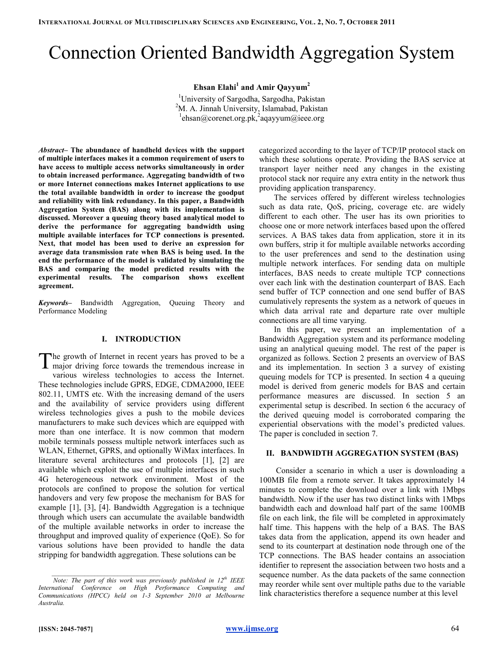# Connection Oriented Bandwidth Aggregation System

Ehsan Elahi<sup>1</sup> and Amir Qayyum<sup>2</sup>

<sup>1</sup>University of Sargodha, Sargodha, Pakistan  $2^2$ M. A. Jinnah University, Islamabad, Pakistan  $\frac{1}{2}$ ehsan@corenet.org.pk,<sup>2</sup>aqayyum@ieee.org

Abstract– The abundance of handheld devices with the support of multiple interfaces makes it a common requirement of users to have access to multiple access networks simultaneously in order to obtain increased performance. Aggregating bandwidth of two or more Internet connections makes Internet applications to use the total available bandwidth in order to increase the goodput and reliability with link redundancy. In this paper, a Bandwidth Aggregation System (BAS) along with its implementation is discussed. Moreover a queuing theory based analytical model to derive the performance for aggregating bandwidth using multiple available interfaces for TCP connections is presented. Next, that model has been used to derive an expression for average data transmission rate when BAS is being used. In the end the performance of the model is validated by simulating the BAS and comparing the model predicted results with the experimental results. The comparison shows excellent agreement.

Keywords- Bandwidth Aggregation, Queuing Theory and Performance Modeling

# I. INTRODUCTION

he growth of Internet in recent years has proved to be a The growth of Internet in recent years has proved to be a major driving force towards the tremendous increase in various wireless technologies to access the Internet. These technologies include GPRS, EDGE, CDMA2000, IEEE 802.11, UMTS etc. With the increasing demand of the users and the availability of service providers using different wireless technologies gives a push to the mobile devices manufacturers to make such devices which are equipped with more than one interface. It is now common that modern mobile terminals possess multiple network interfaces such as WLAN, Ethernet, GPRS, and optionally WiMax interfaces. In literature several architectures and protocols [1], [2] are available which exploit the use of multiple interfaces in such 4G heterogeneous network environment. Most of the protocols are confined to propose the solution for vertical handovers and very few propose the mechanism for BAS for example [1], [3], [4]. Bandwidth Aggregation is a technique through which users can accumulate the available bandwidth of the multiple available networks in order to increase the throughput and improved quality of experience (QoE). So for various solutions have been provided to handle the data stripping for bandwidth aggregation. These solutions can be

categorized according to the layer of TCP/IP protocol stack on which these solutions operate. Providing the BAS service at transport layer neither need any changes in the existing protocol stack nor require any extra entity in the network thus providing application transparency.

The services offered by different wireless technologies such as data rate, QoS, pricing, coverage etc. are widely different to each other. The user has its own priorities to choose one or more network interfaces based upon the offered services. A BAS takes data from application, store it in its own buffers, strip it for multiple available networks according to the user preferences and send to the destination using multiple network interfaces. For sending data on multiple interfaces, BAS needs to create multiple TCP connections over each link with the destination counterpart of BAS. Each send buffer of TCP connection and one send buffer of BAS cumulatively represents the system as a network of queues in which data arrival rate and departure rate over multiple connections are all time varying.

In this paper, we present an implementation of a Bandwidth Aggregation system and its performance modeling using an analytical queuing model. The rest of the paper is organized as follows. Section 2 presents an overview of BAS and its implementation. In section 3 a survey of existing queuing models for TCP is presented. In section 4 a queuing model is derived from generic models for BAS and certain performance measures are discussed. In section 5 an experimental setup is described. In section 6 the accuracy of the derived queuing model is corroborated comparing the experiential observations with the model's predicted values. The paper is concluded in section 7.

# II. BANDWIDTH AGGREGATION SYSTEM (BAS)

 Consider a scenario in which a user is downloading a 100MB file from a remote server. It takes approximately 14 minutes to complete the download over a link with 1Mbps bandwidth. Now if the user has two distinct links with 1Mbps bandwidth each and download half part of the same 100MB file on each link, the file will be completed in approximately half time. This happens with the help of a BAS. The BAS takes data from the application, append its own header and send to its counterpart at destination node through one of the TCP connections. The BAS header contains an association identifier to represent the association between two hosts and a sequence number. As the data packets of the same connection may reorder while sent over multiple paths due to the variable link characteristics therefore a sequence number at this level

Note: The part of this work was previously published in  $12^{th}$  IEEE International Conference on High Performance Computing and Communications (HPCC) held on 1-3 September 2010 at Melbourne Australia.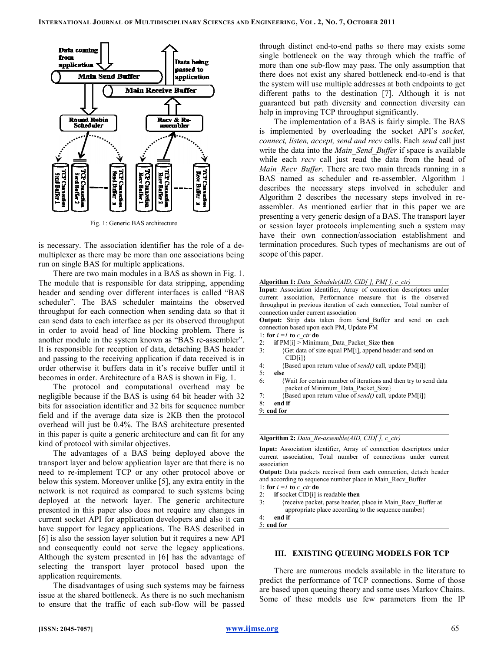

Fig. 1: Generic BAS architecture

is necessary. The association identifier has the role of a demultiplexer as there may be more than one associations being run on single BAS for multiple applications.

There are two main modules in a BAS as shown in Fig. 1. The module that is responsible for data stripping, appending header and sending over different interfaces is called "BAS scheduler". The BAS scheduler maintains the observed throughput for each connection when sending data so that it can send data to each interface as per its observed throughput in order to avoid head of line blocking problem. There is another module in the system known as "BAS re-assembler". It is responsible for reception of data, detaching BAS header and passing to the receiving application if data received is in and passing to the receiving application if data received is in order otherwise it buffers data in it's receive buffer until it becomes in order. Architecture of a BAS is shown in Fig. 1. The BAS scheduler maintains the observed<br>for each connection when sending data so that it<br>ta to each interface as per its observed throughput<br>avoid head of line blocking problem. There is

The protocol and computational overhead may be The protocol and computational overhead may be negligible because if the BAS is using 64 bit header with 32 bits for association identifier and 32 bits for sequence number field and if the average data size is 2KB then the protocol overhead will just be 0.4%. The BAS architecture presented in this paper is quite a generic architecture and can fit for any kind of protocol with similar objectives.

The advantages of a BAS being deployed above the The advantages of a BAS being deployed above the transport layer and below application layer are that there is no need to re-implement TCP or any other protocol above or below this system. Moreover unlike [5], any extra entity in the need to re-implement TCP or any other protocol above or below this system. Moreover unlike [5], any extra entity in the network is not required as compared to such systems being deployed at the network layer. The generic architecture presented in this paper also does not require any changes in current socket API for application developers and also it can have support for legacy applications. The BAS described in [6] is also the session layer solution but it requires a new API and consequently could not serve the legacy applications. Although the system presented in  $[6]$  has the advantage of selecting the transport layer protocol based upon the application requirements.<br>The disadvantages of using such systems may be fairness application requirements.

The disadvantages of using such systems may be fairness issue at the shared bottleneck. As there is no such mechanism to ensure that the traffic of each sub-flow will be passed through distinct end-to-end paths so there may exists some single bottleneck on the way through which the traffic of more than one sub-flow may pass. The only assumption that there does not exist any shared bottleneck end-to-end is that the system will use multiple addresses at both endpoints to get different paths to the destination  $[7]$ . Although it is not guaranteed but path diversity and connection diversity can help in improving TCP throughput significantly. anteed but path diversity and connection diversity can<br>in improving TCP throughput significantly.<br>The implementation of a BAS is fairly simple. The BAS nd-to-end paths so there may exists some<br>on the way through which the traffic of<br>-flow may pass. The only assumption that

is implemented by overloading the socket API's socket, connect, listen, accept, send and recv calls. Each send call just write the data into the *Main Send Buffer* if space is available while each *recv* call just read the data from the head of while each *recv* call just read the data from the head of *Main\_Recv\_Buffer*. There are two main threads running in a BAS named as scheduler and re-assembler. Algorithm 1 describes the necessary steps involved in scheduler and Algorithm 2 describes the necessary steps involved in re-Algorithm 2 describes the necessary steps involved in re assembler. As mentioned earlier that in this paper we are presenting a very generic design of a BAS. The transport layer or session layer protocols implementing such a system may have their own connection/association establishment and termination procedures. Such types of mechanisms are scope of this paper. session layer protocols implementing such a system may<br>re their own connection/association establishment and<br>mination procedures. Such types of mechanisms are out of

|                                                                       | <b>Algorithm 1:</b> Data Schedule(AID, CID[], PM[], c ctr)           |  |  |  |  |  |  |
|-----------------------------------------------------------------------|----------------------------------------------------------------------|--|--|--|--|--|--|
|                                                                       | Input: Association identifier, Array of connection descriptors under |  |  |  |  |  |  |
|                                                                       | current association, Performance measure that is the observed        |  |  |  |  |  |  |
|                                                                       | throughput in previous iteration of each connection. Total number of |  |  |  |  |  |  |
|                                                                       | connection under current association                                 |  |  |  |  |  |  |
|                                                                       | <b>Output:</b> Strip data taken from Send Buffer and send on each    |  |  |  |  |  |  |
|                                                                       | connection based upon each PM, Update PM                             |  |  |  |  |  |  |
|                                                                       | 1: for $i = l$ to c ctr do                                           |  |  |  |  |  |  |
| 2:                                                                    | if $PM[i] > Minimum$ Data Packet Size then                           |  |  |  |  |  |  |
| {Get data of size equal PM[i], append header and send on<br>3:        |                                                                      |  |  |  |  |  |  |
|                                                                       | CID[i]                                                               |  |  |  |  |  |  |
| 4:                                                                    | {Based upon return value of send() call, update PM[i]}               |  |  |  |  |  |  |
| 5:                                                                    | else                                                                 |  |  |  |  |  |  |
| 6:<br>Wait for certain number of iterations and then try to send data |                                                                      |  |  |  |  |  |  |
|                                                                       | packet of Minimum Data Packet Size}                                  |  |  |  |  |  |  |
| 7:                                                                    | {Based upon return value of send() call, update PM[i]}               |  |  |  |  |  |  |
| $8 -$                                                                 | end if                                                               |  |  |  |  |  |  |
|                                                                       | $9:$ end for                                                         |  |  |  |  |  |  |

Algorithm 2: Data\_Re-assemble(AID, CID[], c\_ctr)

Input: Association identifier, Array of connection descriptors under current association, Total number of connections under current association

Output: Data packets received from each connection, detach header and according to sequence number place in Main\_Recv\_Buffer 1: for  $i =l$  to  $c_c$  ctr do

- 2: **if** socket CID[i] is readable then
- 3: {receive packet, parse header, place in Main\_Recv\_Buffer at appropriate place according to the sequence number} to sequence number place in Main\_Recv\_Buffer<br>  $c_c$ ctr **do**<br>
CID[i] is readable **then**<br>
we packet, parse header, place in Main\_Recv\_But<br>
opriate place according to the sequence number}

### III. EXISTING QUEUING MODELS FOR TCP

There are numerous models available in the literature to predict the performance of TCP connections. Some of those are based upon queuing theory and some uses Markov Chains. Some of these models use few parameters from the IP exercise available in the literature to<br>e performance of TCP connections. Some of those<br>upon queuing theory and some uses Markov Chains.<br>these models use few parameters from the IP

<sup>4:</sup> end if 5: end for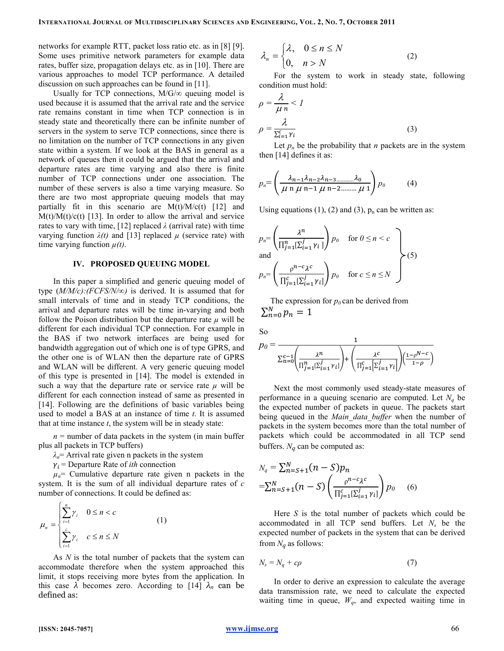networks for example RTT, packet loss ratio etc. as in [8] [9]. Some uses primitive network parameters for example data rates, buffer size, propagation delays etc. as in [10]. There are various approaches to model TCP performance. A detailed discussion on such approaches can be found in [11].

Usually for TCP connections,  $M/G/\infty$  queuing model is used because it is assumed that the arrival rate and the service rate remains constant in time when TCP connection is in steady state and theoretically there can be infinite number of servers in the system to serve TCP connections, since there is no limitation on the number of TCP connections in any given state within a system. If we look at the BAS in general as a network of queues then it could be argued that the arrival and departure rates are time varying and also there is finite number of TCP connections under one association. The number of these servers is also a time varying measure. So there are two most appropriate queuing models that may partially fit in this scenario are  $M(t)/M/c(t)$  [12] and  $M(t)/M(t)/c(t)$  [13]. In order to allow the arrival and service rates to vary with time, [12] replaced  $\lambda$  (arrival rate) with time varying function  $\lambda(t)$  and [13] replaced  $\mu$  (service rate) with time varying function  $\mu(t)$ .

#### IV. PROPOSED QUEUING MODEL

In this paper a simplified and generic queuing model of type  $(M/M/c)/(FCFS/N/\infty)$  is derived. It is assumed that for small intervals of time and in steady TCP conditions, the arrival and departure rates will be time in-varying and both follow the Poison distribution but the departure rate  $\mu$  will be different for each individual TCP connection. For example in the BAS if two network interfaces are being used for bandwidth aggregation out of which one is of type GPRS, and the other one is of WLAN then the departure rate of GPRS and WLAN will be different. A very generic queuing model of this type is presented in [14]. The model is extended in such a way that the departure rate or service rate  $\mu$  will be different for each connection instead of same as presented in [14]. Following are the definitions of basic variables being used to model a BAS at an instance of time  $t$ . It is assumed that at time instance  $t$ , the system will be in steady state:

 $n =$  number of data packets in the system (in main buffer plus all packets in TCP buffers)

 $\lambda_n$ = Arrival rate given n packets in the system

 $\gamma_i$  = Departure Rate of *ith* connection

 $\mu_n$ = Cumulative departure rate given n packets in the system. It is the sum of all individual departure rates of  $c$ number of connections. It could be defined as:

$$
\mu_n = \begin{cases} \sum_{i=1}^n \gamma_i & 0 \le n < c \\ \sum_{i=1}^c \gamma_i & c \le n \le N \end{cases}
$$
 (1)

As N is the total number of packets that the system can accommodate therefore when the system approached this limit, it stops receiving more bytes from the application. In this case  $\lambda$  becomes zero. According to [14]  $\lambda_n$  can be defined as:

$$
\lambda_n = \begin{cases} \lambda, & 0 \le n \le N \\ 0, & n > N \end{cases}
$$
 (2)

For the system to work in steady state, following condition must hold:

$$
\rho = \frac{\lambda}{\mu n} < 1
$$
\n
$$
\rho = \frac{\lambda}{\sum_{i=1}^{c} \gamma_i} \tag{3}
$$

Let  $p_n$  be the probability that *n* packets are in the system then [14] defines it as:

$$
p_n = \left(\frac{\lambda_{n-1}\lambda_{n-2}\lambda_{n-3\ldots\ldots\ldots}\lambda_0}{\mu \, n \, \mu \, n-1 \, \mu \, n-2\ldots\ldots\ldots\mu \, 1}\right) p_0 \tag{4}
$$

Using equations (1), (2) and (3),  $p_n$  can be written as:

$$
p_n = \left(\frac{\lambda^n}{\prod_{j=1}^n [\Sigma_{i=1}^j \gamma_i]}\right) p_0 \quad \text{for } 0 \le n < c
$$
\n
$$
p_n = \left(\frac{p^{n-c} \lambda^c}{\prod_{j=1}^c [\Sigma_{i=1}^j \gamma_i]}\right) p_0 \quad \text{for } c \le n \le N
$$
\n
$$
\tag{5}
$$

The expression for  $p_0$  can be derived from  $\sum_{n=0}^{N} p_n = 1$ 

So

$$
p_0 = \frac{1}{\sum_{n=0}^{c-1} \left( \frac{\lambda^n}{\prod_{j=1}^n \sum_{i=1}^j \gamma_i!} \right) + \left( \frac{\lambda^c}{\prod_{j=1}^c \sum_{i=1}^j \gamma_i!} \right) \left( \frac{1 - \rho^{N-c}}{1 - \rho} \right)}
$$

Next the most commonly used steady-state measures of performance in a queuing scenario are computed. Let  $N_q$  be the expected number of packets in queue. The packets start being queued in the Main data buffer when the number of packets in the system becomes more than the total number of packets which could be accommodated in all TCP send buffers.  $N_q$  can be computed as:

$$
N_q = \sum_{n=S+1}^{N} (n - S) p_n
$$
  
=  $\sum_{n=S+1}^{N} (n - S) \left( \frac{p^{n-c} \lambda^c}{\prod_{j=1}^{c} [\sum_{i=1}^{j} \gamma_i]} \right) p_0$  (6)

Here  $S$  is the total number of packets which could be accommodated in all TCP send buffers. Let  $N_s$  be the expected number of packets in the system that can be derived from  $N_q$  as follows:

$$
N_s = N_q + c\rho \tag{7}
$$

In order to derive an expression to calculate the average data transmission rate, we need to calculate the expected waiting time in queue,  $W_q$ , and expected waiting time in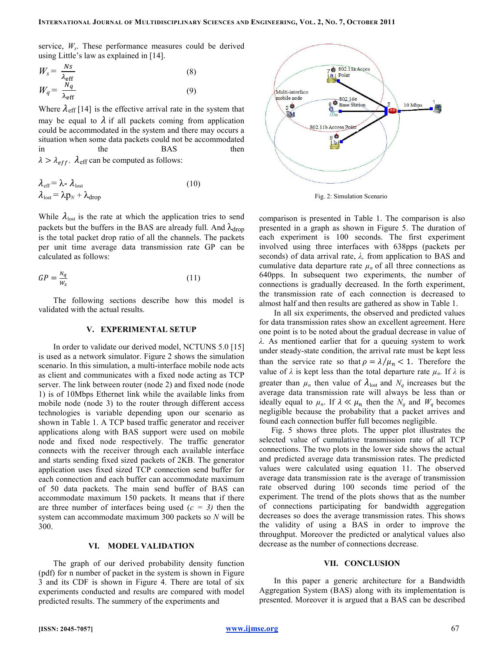# INTERNATIONAL JOURNAL OF MULTIDISCIPLINARY SCIENCES AND ENGINEERING, VOL. 2, NO. 7, OCTOBER 2011

service,  $W_s$ . These performance measures could be derived using Little's law as explained in [14].

$$
W_s = \frac{Ns}{\lambda_{\text{eff}}}
$$
  
\n
$$
W_q = \frac{N_q}{\lambda_{\text{eff}}}
$$
\n(8)

5 T =

Where  $\lambda_{\text{eff}}$  [14] is the effective arrival rate in the system that may be equal to  $\lambda$  if all packets coming from application could be accommodated in the system and there may occurs a situation when some data packets could not be accommodated in the BAS then  $\lambda > \lambda_{eff}$ .  $\lambda_{eff}$  can be computed as follows:

$$
\lambda_{\text{eff}} = \lambda - \lambda_{\text{lost}}
$$
\n
$$
\lambda_{\text{lost}} = \lambda p_N + \lambda_{\text{drop}}
$$
\n(10)

While  $\lambda_{\text{lost}}$  is the rate at which the application tries to send packets but the buffers in the BAS are already full. And  $\lambda_{drop}$ is the total packet drop ratio of all the channels. The packets per unit time average data transmission rate GP can be calculated as follows:

$$
GP = \frac{N_q}{W_S} \tag{11}
$$

The following sections describe how this model is validated with the actual results.

#### V. EXPERIMENTAL SETUP

In order to validate our derived model, NCTUNS 5.0 [15] is used as a network simulator. Figure 2 shows the simulation scenario. In this simulation, a multi-interface mobile node acts as client and communicates with a fixed node acting as TCP server. The link between router (node 2) and fixed node (node 1) is of 10Mbps Ethernet link while the available links from mobile node (node 3) to the router through different access technologies is variable depending upon our scenario as shown in Table 1. A TCP based traffic generator and receiver applications along with BAS support were used on mobile node and fixed node respectively. The traffic generator connects with the receiver through each available interface and starts sending fixed sized packets of 2KB. The generator application uses fixed sized TCP connection send buffer for each connection and each buffer can accommodate maximum of 50 data packets. The main send buffer of BAS can accommodate maximum 150 packets. It means that if there are three number of interfaces being used  $(c = 3)$  then the system can accommodate maximum 300 packets so N will be 300.

# VI. MODEL VALIDATION

The graph of our derived probability density function (pdf) for n number of packet in the system is shown in Figure 3 and its CDF is shown in Figure 4. There are total of six experiments conducted and results are compared with model predicted results. The summery of the experiments and



Fig. 2: Simulation Scenario

comparison is presented in Table 1. The comparison is also presented in a graph as shown in Figure 5. The duration of each experiment is 100 seconds. The first experiment involved using three interfaces with 638pps (packets per seconds) of data arrival rate,  $\lambda$ , from application to BAS and cumulative data departure rate  $\mu_n$  of all three connections as 640pps. In subsequent two experiments, the number of connections is gradually decreased. In the forth experiment, the transmission rate of each connection is decreased to almost half and then results are gathered as show in Table 1.

In all six experiments, the observed and predicted values for data transmission rates show an excellent agreement. Here one point is to be noted about the gradual decrease in value of λ. As mentioned earlier that for a queuing system to work under steady-state condition, the arrival rate must be kept less than the service rate so that  $\rho = \lambda / \mu_n < 1$ . Therefore the value of  $\lambda$  is kept less than the total departure rate  $\mu_n$ . If  $\lambda$  is greater than  $\mu_n$  then value of  $\lambda_{\text{lost}}$  and  $N_q$  increases but the average data transmission rate will always be less than or ideally equal to  $\mu_n$ . If  $\lambda \ll \mu_n$  then the  $N_q$  and  $W_q$  becomes negligible because the probability that a packet arrives and found each connection buffer full becomes negligible.

 Fig. 5 shows three plots. The upper plot illustrates the selected value of cumulative transmission rate of all TCP connections. The two plots in the lower side shows the actual and predicted average data transmission rates. The predicted values were calculated using equation 11. The observed average data transmission rate is the average of transmission rate observed during 100 seconds time period of the experiment. The trend of the plots shows that as the number of connections participating for bandwidth aggregation decreases so does the average transmission rates. This shows the validity of using a BAS in order to improve the throughput. Moreover the predicted or analytical values also decrease as the number of connections decrease.

## VII. CONCLUSION

In this paper a generic architecture for a Bandwidth Aggregation System (BAS) along with its implementation is presented. Moreover it is argued that a BAS can be described